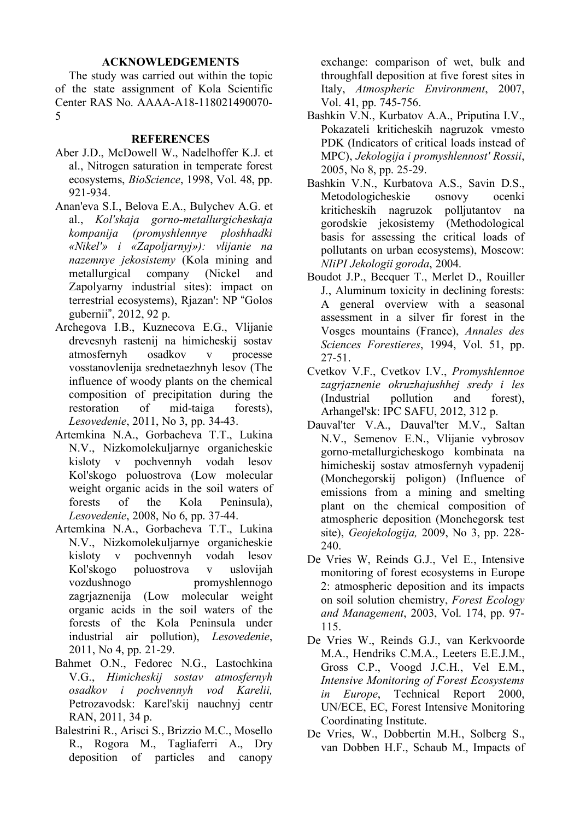## **ACKNOWLEDGEMENTS**

The study was carried out within the topic of the state assignment of Kola Scientific Center RAS No. АААА-А18-118021490070- 5

## **REFERENCES**

- Aber J.D., McDowell W., Nadelhoffer K.J. et al., Nitrogen saturation in temperate forest ecosystems, *BioScience*, 1998, Vol. 48, pp. 921-934.
- Anan'eva S.I., Belova E.A., Bulychev A.G. et al., *Kol'skaja gorno-metallurgicheskaja kompanija (promyshlennye ploshhadki «Nikel'» i «Zapoljarnyj»): vlijanie na nazemnye jekosistemy* (Kola mining and metallurgical company (Nickel and Zapolyarny industrial sites): impact on terrestrial ecosystems), Rjazan': NP "Golos gubernii", 2012, 92 p.
- Archegova I.B., Kuznecova E.G., Vlijanie drevesnyh rastenij na himicheskij sostav atmosfernyh osadkov v processe vosstanovlenija srednetaezhnyh lesov (The influence of woody plants on the chemical composition of precipitation during the restoration of mid-taiga forests), *Lesovedenie*, 2011, No 3, pp. 34-43.
- Artemkina N.A., Gorbacheva T.T., Lukina N.V., Nizkomolekuljarnye organicheskie kisloty v pochvennyh vodah lesov Kol'skogo poluostrova (Low molecular weight organic acids in the soil waters of forests of the Kola Peninsula), *Lesovedenie*, 2008, No 6, pp. 37-44.
- Artemkina N.A., Gorbacheva T.T., Lukina N.V., Nizkomolekuljarnye organicheskie kisloty v pochvennyh vodah lesov Kol'skogo poluostrova v uslovijah vozdushnogo promyshlennogo zagrjaznenija (Low molecular weight organic acids in the soil waters of the forests of the Kola Peninsula under industrial air pollution), *Lesovedenie*, 2011, No 4, pp. 21-29.
- Bahmet O.N., Fedorec N.G., Lastochkina V.G., *Himicheskij sostav atmosfernyh osadkov i pochvennyh vod Karelii,*  Petrozavodsk: Karel'skij nauchnyj centr RAN, 2011, 34 р.
- Balestrini R., Arisci S., Brizzio M.C., Mosello R., Rogora M., Tagliaferri A., Dry deposition of particles and canopy

exchange: comparison of wet, bulk and throughfall deposition at five forest sites in Italy, *Atmospheric Environment*, 2007, Vol. 41, pp. 745-756.

- Bashkin V.N., Kurbatov A.A., Priputina I.V., Pokazateli kriticheskih nagruzok vmesto PDK (Indicators of critical loads instead of MPC), *Jekologija i promyshlennost' Rossii*, 2005, No 8, pp. 25-29.
- Bashkin V.N., Kurbatova A.S., Savin D.S., Metodologicheskie osnovy ocenki kriticheskih nagruzok polljutantov na gorodskie jekosistemy (Methodological basis for assessing the critical loads of pollutants on urban ecosystems), Moscow: *NIiPI Jekologii goroda*, 2004.
- Boudot J.P., Becquer T., Merlet D., Rouiller J., Aluminum toxicity in declining forests: A general overview with a seasonal assessment in a silver fir forest in the Vosges mountains (France), *Annales des Sciences Forestieres*, 1994, Vol. 51, pp. 27-51.
- Cvetkov V.F., Cvetkov I.V., *Promyshlennoe zagrjaznenie okruzhajushhej sredy i les*  (Industrial pollution and forest), Arhangel'sk: IPC SAFU, 2012, 312 p.
- Dauval'ter V.A., Dauval'ter M.V., Saltan N.V., Semenov E.N., Vlijanie vybrosov gorno-metallurgicheskogo kombinata na himicheskij sostav atmosfernyh vypadenij (Monchegorskij poligon) (Influence of emissions from a mining and smelting plant on the chemical composition of atmospheric deposition (Monchegorsk test site), *Geojekologija,* 2009, No 3, pp. 228- 240.
- De Vries W, Reinds G.J., Vel E., Intensive monitoring of forest ecosystems in Europe 2: atmospheric deposition and its impacts on soil solution chemistry, *Forest Ecology and Management*, 2003, Vol. 174, pp. 97- 115.
- De Vries W., Reinds G.J., van Kerkvoorde M.A., Hendriks C.M.A., Leeters E.E.J.M., Gross C.P., Voogd J.C.H., Vel E.M., *Intensive Monitoring of Forest Ecosystems in Europe*, Technical Report 2000, UN/ECE, EC, Forest Intensive Monitoring Coordinating Institute.
- De Vries, W., Dobbertin M.H., Solberg S., van Dobben H.F., Schaub M., Impacts of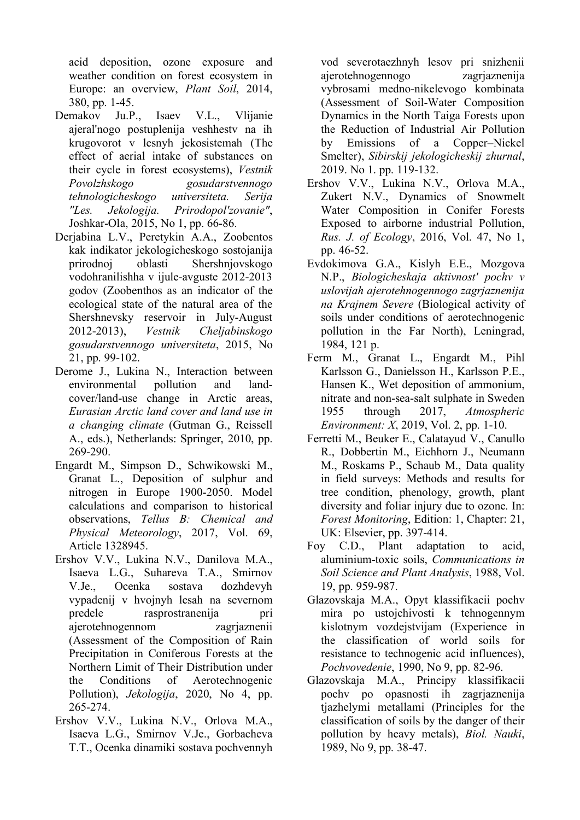acid deposition, ozone exposure and weather condition on forest ecosystem in Europe: an overview, *Plant Soil*, 2014, 380, pp. 1-45.

- Demakov Ju.P., Isaev V.L., Vlijanie ajeral'nogo postuplenija veshhestv na ih krugovorot v lesnyh jekosistemah (The effect of aerial intake of substances on their cycle in forest ecosystems), *Vestnik Povolzhskogo gosudarstvennogo tehnologicheskogo universiteta. Serija "Les. Jekologija. Prirodopol'zovanie"*, Joshkar-Ola, 2015, No 1, pp. 66-86.
- Derjabina L.V., Peretykin A.A., Zoobentos kak indikator jekologicheskogo sostojanija prirodnoj oblasti Shershnjovskogo vodohranilishha v ijule-avguste 2012-2013 godov (Zoobenthos as an indicator of the ecological state of the natural area of the Shershnevsky reservoir in July-August 2012-2013), *Vestnik Cheljabinskogo gosudarstvennogo universiteta*, 2015, No 21, pp. 99-102.
- Derome J., Lukina N., Interaction between environmental pollution and landcover/land-use change in Arctic areas, *Eurasian Arctic land cover and land use in a changing climate* (Gutman G., Reissell A., eds.), Netherlands: Springer, 2010, pp. 269-290.
- Engardt M., Simpson D., Schwikowski M., Granat L., Deposition of sulphur and nitrogen in Europe 1900-2050. Model calculations and comparison to historical observations, *Tellus B: Chemical and Physical Meteorology*, 2017, Vol. 69, Article 1328945.
- Ershov V.V., Lukina N.V., Danilova M.A., Isaeva L.G., Suhareva T.A., Smirnov V.Je., Ocenka sostava dozhdevyh vypadenij v hvojnyh lesah na severnom predele rasprostranenija pri ajerotehnogennom zagrjaznenii (Assessment of the Composition of Rain Precipitation in Coniferous Forests at the Northern Limit of Their Distribution under the Conditions of Aerotechnogenic Pollution), *Jekologija*, 2020, No 4, pp. 265-274.
- Еrshov V.V., Lukina N.V., Orlova M.A., Isaeva L.G., Smirnov V.Je., Gorbacheva T.T., Ocenka dinamiki sostava pochvennyh

vod severotaezhnyh lesov pri snizhenii ajerotehnogennogo zagrjaznenija vybrosami medno-nikelevogo kombinata (Assessment of Soil-Water Composition Dynamics in the North Taiga Forests upon the Reduction of Industrial Air Pollution by Emissions of a Copper–Nickel Smelter), *Sibirskij jekologicheskij zhurnal*, 2019. No 1. pp. 119-132.

- Ershov V.V., Lukina N.V., Orlova M.A., Zukert N.V., Dynamics of Snowmelt Water Composition in Conifer Forests Exposed to airborne industrial Pollution, *Rus. J. of Ecology*, 2016, Vol. 47, No 1, pp. 46-52.
- Evdokimova G.A., Kislyh E.E., Mozgova N.P., *Biologicheskaja aktivnost' pochv v uslovijah ajerotehnogennogo zagrjaznenija na Krajnem Severe* (Biological activity of soils under conditions of aerotechnogenic pollution in the Far North), Leningrad, 1984, 121 p.
- Ferm M., Granat L., Engardt M., Pihl Karlsson G., Danielsson H., Karlsson P.E., Hansen K., Wet deposition of ammonium, nitrate and non-sea-salt sulphate in Sweden 1955 through 2017, *Atmospheric Environment: X*, 2019, Vol. 2, pp. 1-10.
- Ferretti M., Beuker E., Calatayud V., Canullo R., Dobbertin M., Eichhorn J., Neumann M., Roskams P., Schaub M., Data quality in field surveys: Methods and results for tree condition, phenology, growth, plant diversity and foliar injury due to ozone. In: *Forest Monitoring*, Edition: 1, Chapter: 21, UK: Elsevier, pp. 397-414.
- Foy C.D., Plant adaptation to acid, aluminium-toxic soils, *Communications in Soil Science and Plant Analysis*, 1988, Vol. 19, pp. 959-987.
- Glazovskaja M.A., Opyt klassifikacii pochv mira po ustojchivosti k tehnogennym kislotnym vozdejstvijam (Experience in the classification of world soils for resistance to technogenic acid influences), *Pochvovedenie*, 1990, No 9, pp. 82-96.
- Glazovskaja M.A., Principy klassifikacii pochv po opasnosti ih zagrjaznenija tjazhelymi metallami (Principles for the classification of soils by the danger of their pollution by heavy metals), *Biol. Nauki*, 1989, No 9, pp. 38-47.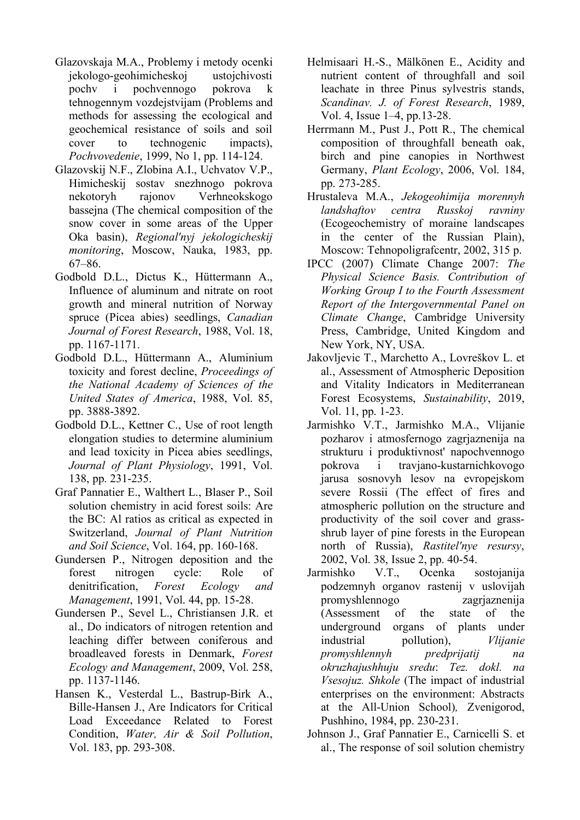- Glazovskaja M.A., Problemy i metody ocenki jekologo-geohimicheskoj ustojchivosti pochv i pochvennogo pokrova k tehnogennym vozdejstvijam (Problems and methods for assessing the ecological and geochemical resistance of soils and soil cover to technogenic impacts), *Pochvovedenie*, 1999, No 1, pp. 114-124.
- Glazovskij N.F., Zlobina A.I., Uchvatov V.P., Himicheskij sostav snezhnogo pokrova nekotoryh rajonov Verhneokskogo bassejna (The chemical composition of the snow cover in some areas of the Upper Oka basin), *Regional'nyj jekologicheskij monitoring*, Moscow, Nauka, 1983, pp. 67–86.
- Godbold D.L., Dictus K., Hüttermann A., Influence of aluminum and nitrate on root growth and mineral nutrition of Norway spruce (Picea abies) seedlings, *Canadian Journal of Forest Research*, 1988, Vol. 18, pp. 1167-1171.
- Godbold D.L., Hüttermann A., Aluminium toxicity and forest decline, *Proceedings of the National Academy of Sciences of the United States of America*, 1988, Vol. 85, pp. 3888-3892.
- Godbold D.L., Kettner C., Use of root length elongation studies to determine aluminium and lead toxicity in Picea abies seedlings, *Journal of Plant Physiology*, 1991, Vol. 138, pp. 231-235.
- Graf Pannatier E., Walthert L., Blaser P., Soil solution chemistry in acid forest soils: Are the BC: Al ratios as critical as expected in Switzerland, *Journal of Plant Nutrition and Soil Science*, Vol. 164, pp. 160-168.
- Gundersen P., Nitrogen deposition and the forest nitrogen cycle: Role of denitrification, *Forest Ecology and Management*, 1991, Vol. 44, pp. 15-28.
- Gundersen P., Sevel L., Christiansen J.R. et al., Do indicators of nitrogen retention and leaching differ between coniferous and broadleaved forests in Denmark, *Forest Ecology and Management*, 2009, Vol. 258, pp. 1137-1146.
- Hansen K., Vesterdal L., Bastrup-Birk A., Bille-Hansen J., Are Indicators for Critical Load Exceedance Related to Forest Condition, *Water, Air & Soil Pollution*, Vol. 183, pp. 293-308.
- Helmisaari H.-S., Mälkönen E., Acidity and nutrient content of throughfall and soil leachate in three Pinus sylvestris stands, *Scandinav. J. of Forest Research*, 1989, Vol. 4, Issue 1–4, pp.13-28.
- Herrmann M., Pust J., Pott R., The chemical composition of throughfall beneath oak, birch and pine canopies in Northwest Germany, *Plant Ecology*, 2006, Vol. 184, pp. 273-285.
- Hrustaleva M.A., *Jekogeohimija morennyh landshaftov centra Russkoj ravniny*  (Ecogeochemistry of moraine landscapes in the center of the Russian Plain), Moscow: Tehnopoligrafcentr, 2002, 315 p.
- IPCC (2007) Climate Change 2007: *The Physical Science Basis. Contribution of Working Group I to the Fourth Assessment Report of the Intergovernmental Panel on Climate Change*, Cambridge University Press, Cambridge, United Kingdom and New York, NY, USA.
- Jakovljevic T., Marchetto A., Lovreškov L. et al., Assessment of Atmospheric Deposition and Vitality Indicators in Mediterranean Forest Ecosystems, *Sustainability*, 2019, Vol. 11, pp. 1-23.
- Jarmishko V.T., Jarmishko M.A., Vlijanie pozharov i atmosfernogo zagrjaznenija na strukturu i produktivnost' napochvennogo pokrova i travjano-kustarnichkovogo jarusa sosnovyh lesov na evropejskom severe Rossii (The effect of fires and atmospheric pollution on the structure and productivity of the soil cover and grassshrub layer of pine forests in the European north of Russia), *Rastitel'nye resursy*, 2002, Vol. 38, Issue 2, pp. 40-54.
- Jarmishko V.T., Ocenka sostojanija podzemnyh organov rastenij v uslovijah promyshlennogo zagrjaznenija (Assessment of the state of the underground organs of plants under industrial pollution), *Vlijanie promyshlennyh predprijatij na okruzhajushhuju sredu*: *Tez. dokl. na Vsesojuz. Shkole* (The impact of industrial enterprises on the environment: Abstracts at the All-Union School)*,* Zvenigorod, Pushhino, 1984, pp. 230-231.
- Johnson J., Graf Pannatier E., Carnicelli S. et al., The response of soil solution chemistry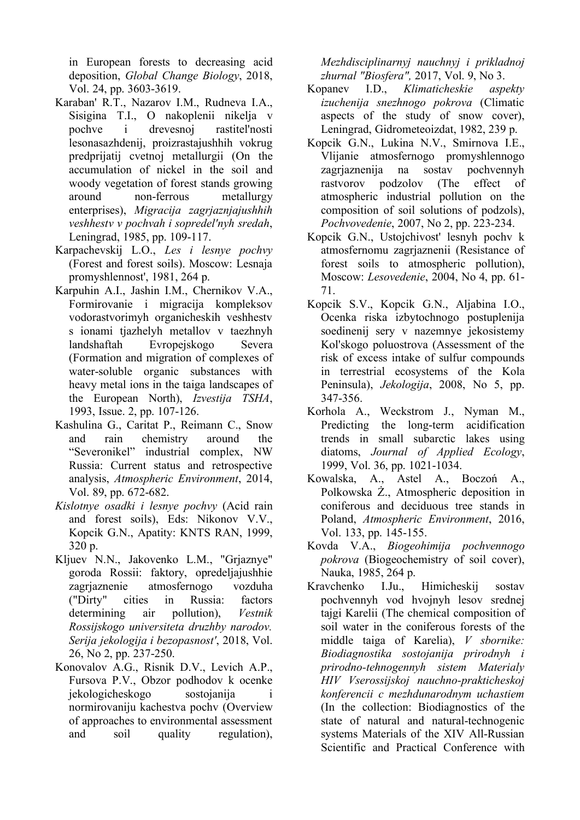in European forests to decreasing acid deposition, *Global Change Biology*, 2018, Vol. 24, pp. 3603-3619.

- Karaban' R.T., Nazarov I.M., Rudneva I.A., Sisigina T.I., O nakoplenii nikelja v pochve i drevesnoj rastitel'nosti lesonasazhdenij, proizrastajushhih vokrug predprijatij cvetnoj metallurgii (On the accumulation of nickel in the soil and woody vegetation of forest stands growing around non-ferrous metallurgy enterprises), *Migracija zagrjaznjajushhih veshhestv v pochvah i sopredel'nyh sredah*, Leningrad, 1985, pp. 109-117.
- Karpachevskij L.O., *Les i lesnye pochvy*  (Forest and forest soils). Moscow: Lesnaja promyshlennost', 1981, 264 p.
- Karpuhin A.I., Jashin I.M., Chernikov V.A., Formirovanie i migracija kompleksov vodorastvorimyh organicheskih veshhestv s ionami tjazhelyh metallov v taezhnyh landshaftah Evropejskogo Severa (Formation and migration of complexes of water-soluble organic substances with heavy metal ions in the taiga landscapes of the European North), *Izvestija TSHA*, 1993, Issue. 2, pp. 107-126.
- Kashulina G., Caritat P., Reimann C., Snow and rain chemistry around the "Severonikel" industrial complex, NW Russia: Current status and retrospective analysis, *Atmospheric Environment*, 2014, Vol. 89, рр. 672-682.
- *Kislotnye osadki i lesnye pochvy* (Acid rain and forest soils), Eds: Nikonov V.V., Kopcik G.N., Apatity: KNTS RAN, 1999, 320 p.
- Kljuev N.N., Jakovenko L.M., "Grjaznye" goroda Rossii: faktory, opredeljajushhie zagrjaznenie atmosfernogo vozduha ("Dirty" cities in Russia: factors determining air pollution), *Vestnik Rossijskogo universiteta druzhby narodov. Serija jekologija i bezopasnost'*, 2018, Vol. 26, No 2, pp. 237-250.
- Konovalov A.G., Risnik D.V., Levich A.P., Fursova P.V., Obzor podhodov k ocenke jekologicheskogo sostojanija i normirovaniju kachestva pochv (Overview of approaches to environmental assessment and soil quality regulation),

*Mezhdisciplinarnyj nauchnyj i prikladnoj zhurnal "Biosfera",* 2017, Vol. 9, No 3.

- Kopanev I.D., *Klimaticheskie aspekty izuchenija snezhnogo pokrova* (Climatic aspects of the study of snow cover), Leningrad, Gidrometeoizdat, 1982, 239 p.
- Kopcik G.N., Lukina N.V., Smirnova I.E., Vlijanie atmosfernogo promyshlennogo zagrjaznenija na sostav pochvennyh rastvorov podzolov (The effect of atmospheric industrial pollution on the composition of soil solutions of podzols), *Pochvovedenie*, 2007, No 2, pp. 223-234.
- Kopcik G.N., Ustojchivost' lesnyh pochv k atmosfernomu zagrjaznenii (Resistance of forest soils to atmospheric pollution), Moscow: *Lesovedenie*, 2004, No 4, pp. 61- 71.
- Kopcik S.V., Kopcik G.N., Aljabina I.O., Ocenka riska izbytochnogo postuplenija soedinenij sery v nazemnye jekosistemy Kol'skogo poluostrova (Assessment of the risk of excess intake of sulfur compounds in terrestrial ecosystems of the Kola Peninsula), *Jekologija*, 2008, No 5, pp. 347-356.
- Korhola A., Weckstrom J., Nyman M., Predicting the long-term acidification trends in small subarctic lakes using diatoms, *Journal of Applied Ecology*, 1999, Vol. 36, рр. 1021-1034.
- Kowalska, A., Astel A., Boczoń A., Polkowska Ż., Atmospheric deposition in coniferous and deciduous tree stands in Poland, *Atmospheric Environment*, 2016, Vol. 133, pp. 145-155.
- Kovda V.A., *Biogeohimija pochvennogo pokrova* (Biogeochemistry of soil cover), Nauka, 1985, 264 p.
- Kravchenko I.Ju., Himicheskij sostav pochvennyh vod hvojnyh lesov srednej tajgi Karelii (The chemical composition of soil water in the coniferous forests of the middle taiga of Karelia), *V sbornike: Biodiagnostika sostojanija prirodnyh i prirodno-tehnogennyh sistem Materialy HIV Vserossijskoj nauchno-prakticheskoj konferencii c mezhdunarodnym uchastiem*  (In the collection: Biodiagnostics of the state of natural and natural-technogenic systems Materials of the XIV All-Russian Scientific and Practical Conference with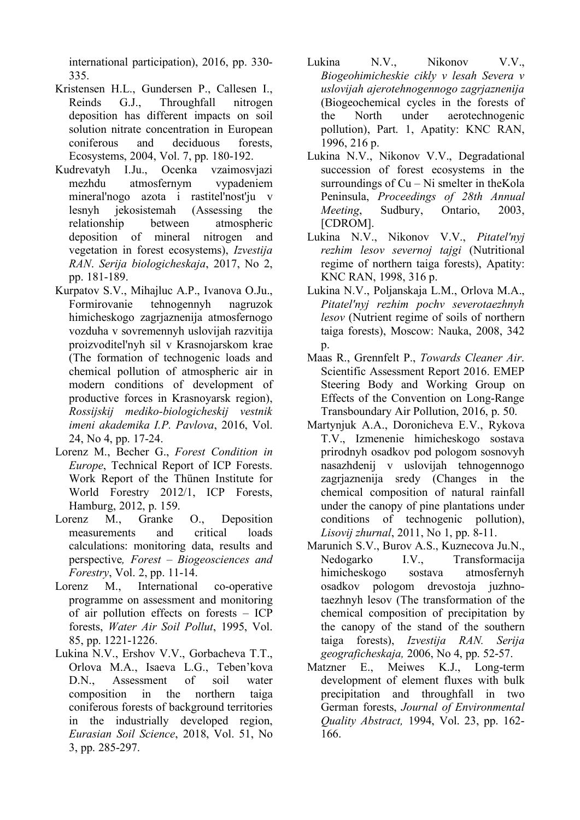international participation), 2016, pp. 330- 335.

- Kristensen H.L., Gundersen P., Callesen I., Reinds G.J., Throughfall nitrogen deposition has different impacts on soil solution nitrate concentration in European coniferous and deciduous forests, Ecosystems, 2004, Vol. 7, pp. 180-192.
- Kudrevatyh I.Ju., Ocenka vzaimosvjazi mezhdu atmosfernym vypadeniem mineral'nogo azota i rastitel'nost'ju v lesnyh jekosistemah (Assessing the relationship between atmospheric deposition of mineral nitrogen and vegetation in forest ecosystems), *Izvestija RAN*. *Serija biologicheskaja*, 2017, No 2, pp. 181-189.
- Kurpatov S.V., Mihajluc A.P., Ivanova O.Ju., Formirovanie tehnogennyh nagruzok himicheskogo zagrjaznenija atmosfernogo vozduha v sovremennyh uslovijah razvitija proizvoditel'nyh sil v Krasnojarskom krae (The formation of technogenic loads and chemical pollution of atmospheric air in modern conditions of development of productive forces in Krasnoyarsk region), *Rossijskij mediko-biologicheskij vestnik imeni akademika I.P. Pavlova*, 2016, Vol. 24, No 4, pp. 17-24.
- Lorenz M., Becher G., *Forest Condition in Europe*, Technical Report of ICP Forests. Work Report of the Thünen Institute for World Forestry 2012/1, ICP Forests, Hamburg, 2012, p. 159.<br>renz M.. Granke
- Lorenz M., Granke O., Deposition measurements and critical loads calculations: monitoring data, results and perspective*, Forest – Biogeosciences and Forestry*, Vol. 2, pp. 11-14.
- Lorenz M., International co-operative programme on assessment and monitoring of air pollution effects on forests – ICP forests, *Water Air Soil Pollut*, 1995, Vol. 85, pp. 1221-1226.
- Lukina N.V., Ershov V.V., Gorbacheva T.T., Orlova M.A., Isaeva L.G., Teben'kova D.N., Assessment of soil water composition in the northern taiga coniferous forests of background territories in the industrially developed region, *Eurasian Soil Science*, 2018, Vol. 51, No 3, pp. 285-297.
- Lukina N.V., Nikonov V.V., *Biogeohimicheskie cikly v lesah Severa v uslovijah ajerotehnogennogo zagrjaznenija*  (Biogeochemical cycles in the forests of the North under aerotechnogenic pollution), Part. 1, Apatity: KNC RAN, 1996, 216 p.
- Lukina N.V., Nikonov V.V., Degradational succession of forest ecosystems in the surroundings of Cu – Ni smelter in theKola Peninsula, *Proceedings of 28th Annual Meeting*, Sudbury, Ontario, 2003, [CDROM].
- Lukina N.V., Nikonov V.V., *Pitatel'nyj rezhim lesov severnoj tajgi* (Nutritional regime of northern taiga forests), Apatity: KNC RAN, 1998, 316 p.
- Lukina N.V., Poljanskaja L.M., Orlova M.A., *Pitatel'nyj rezhim pochv severotaezhnyh lesov* (Nutrient regime of soils of northern taiga forests), Moscow: Nauka, 2008, 342 p.
- Maas R., Grennfelt P., *Towards Cleaner Air*. Scientific Assessment Report 2016. EMEP Steering Body and Working Group on Effects of the Convention on Long-Range Transboundary Air Pollution, 2016, p. 50.
- Martynjuk A.A., Doronicheva E.V., Rykova T.V., Izmenenie himicheskogo sostava prirodnyh osadkov pod pologom sosnovyh nasazhdenij v uslovijah tehnogennogo zagrjaznenija sredy (Changes in the chemical composition of natural rainfall under the canopy of pine plantations under conditions of technogenic pollution), *Lisovij zhurnal*, 2011, No 1, pp. 8-11.
- Marunich S.V., Burov A.S., Kuznecova Ju.N., Nedogarko I.V., Transformacija himicheskogo sostava atmosfernyh osadkov pologom drevostoja juzhnotaezhnyh lesov (The transformation of the chemical composition of precipitation by the canopy of the stand of the southern taiga forests), *Izvestija RAN. Serija geograficheskaja,* 2006, No 4, pp. 52-57.
- Matzner E., Meiwes K.J., Long-term development of element fluxes with bulk precipitation and throughfall in two German forests, *Journal of Environmental Quality Abstract,* 1994, Vol. 23, рр. 162- 166.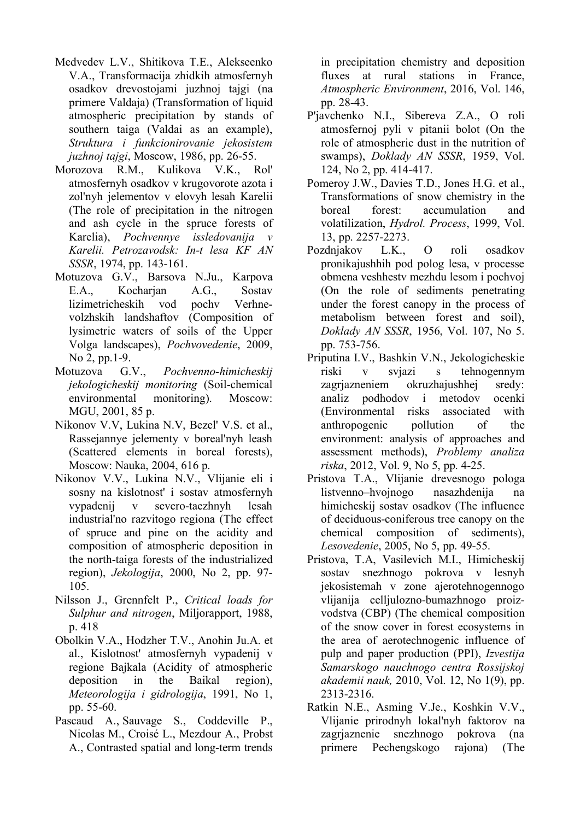- Medvedev L.V., Shitikova T.E., Alekseenko V.A., Transformacija zhidkih atmosfernyh osadkov drevostojami juzhnoj tajgi (na primere Valdaja) (Transformation of liquid atmospheric precipitation by stands of southern taiga (Valdai as an example), *Struktura i funkcionirovanie jekosistem juzhnoj tajgi*, Moscow, 1986, pp. 26-55.
- Morozova R.M., Kulikova V.K., Rol' atmosfernyh osadkov v krugovorote azota i zol'nyh jelementov v elovyh lesah Karelii (The role of precipitation in the nitrogen and ash cycle in the spruce forests of Karelia), *Pochvennye issledovanija v Karelii. Petrozavodsk: In-t lesa KF AN SSSR*, 1974, pp. 143-161.
- Motuzova G.V., Barsova N.Ju., Karpova E.A., Kocharjan A.G., Sostav lizimetricheskih vod pochv Verhnevolzhskih landshaftov (Composition of lysimetric waters of soils of the Upper Volga landscapes), *Pochvovedenie*, 2009, No 2, pp.1-9.
- Motuzova G.V., *Pochvenno-himicheskij jekologicheskij monitoring* (Soil-chemical environmental monitoring). Moscow: MGU, 2001, 85 p.
- Nikonov V.V, Lukina N.V, Bezel' V.S. et al., Rassejannye jelementy v boreal'nyh leash (Scattered elements in boreal forests), Moscow: Nauka, 2004, 616 p.
- Nikonov V.V., Lukina N.V., Vlijanie eli i sosny na kislotnost' i sostav atmosfernyh vypadenij v severo-taezhnyh lesah industrial'no razvitogo regiona (The effect of spruce and pine on the acidity and composition of atmospheric deposition in the north-taiga forests of the industrialized region), *Jekologija*, 2000, No 2, pp. 97- 105.
- Nilsson J., Grennfelt P., *Critical loads for Sulphur and nitrogen*, Miljorapport, 1988, p. 418
- Obolkin V.A., Hodzher T.V., Anohin Ju.A. et al., Kislotnost' atmosfernyh vypadenij v regione Bajkala (Acidity of atmospheric deposition in the Baikal region), *Meteorologija i gidrologija*, 1991, No 1, pp. 55-60.
- Pascaud A., Sauvage S., Coddeville P., Nicolas M., Croisé L., Mezdour A., Probst A., Contrasted spatial and long-term trends

in precipitation chemistry and deposition fluxes at rural stations in France, *Atmospheric Environment*, 2016, Vol. 146, pp. 28-43.

- P'javchenko N.I., Sibereva Z.A., O roli atmosfernoj pyli v pitanii bolot (On the role of atmospheric dust in the nutrition of swamps), *Doklady AN SSSR*, 1959, Vol. 124, No 2, pp. 414-417.
- Pomeroy J.W., Davies T.D., Jones H.G. et al., Transformations of snow chemistry in the boreal forest: accumulation and volatilization, *Hydrol. Process*, 1999, Vol. 13, pp. 2257-2273.
- Pozdnjakov L.K., O roli osadkov pronikajushhih pod polog lesa, v processe obmena veshhestv mezhdu lesom i pochvoj (On the role of sediments penetrating under the forest canopy in the process of metabolism between forest and soil), *Doklady AN SSSR*, 1956, Vol. 107, No 5. pp. 753-756.
- Priputina I.V., Bashkin V.N., Jekologicheskie riski v svjazi s tehnogennym zagrjazneniem okruzhajushhej sredy: analiz podhodov i metodov ocenki (Environmental risks associated with anthropogenic pollution of the environment: analysis of approaches and assessment methods), *Problemy analiza riska*, 2012, Vol. 9, No 5, pp. 4-25.
- Pristova T.A., Vlijanie drevesnogo pologa listvenno–hvojnogo nasazhdenija na himicheskij sostav osadkov (The influence of deciduous-coniferous tree canopy on the chemical composition of sediments), *Lesovedenie*, 2005, No 5, pp. 49-55.
- Pristova, T.A, Vasilevich M.I., Himicheskij sostav snezhnogo pokrova v lesnyh jekosistemah v zone ajerotehnogennogo vlijanija celljulozno-bumazhnogo proizvodstva (CBP) (The chemical composition of the snow cover in forest ecosystems in the area of aerotechnogenic influence of pulp and paper production (PPI), *Izvestija Samarskogo nauchnogo centra Rossijskoj akademii nauk,* 2010, Vol. 12, No 1(9), pp. 2313-2316.
- Ratkin N.E., Asming V.Je., Koshkin V.V., Vlijanie prirodnyh lokal'nyh faktorov na zagrjaznenie snezhnogo pokrova (na primere Pechengskogo rajona) (The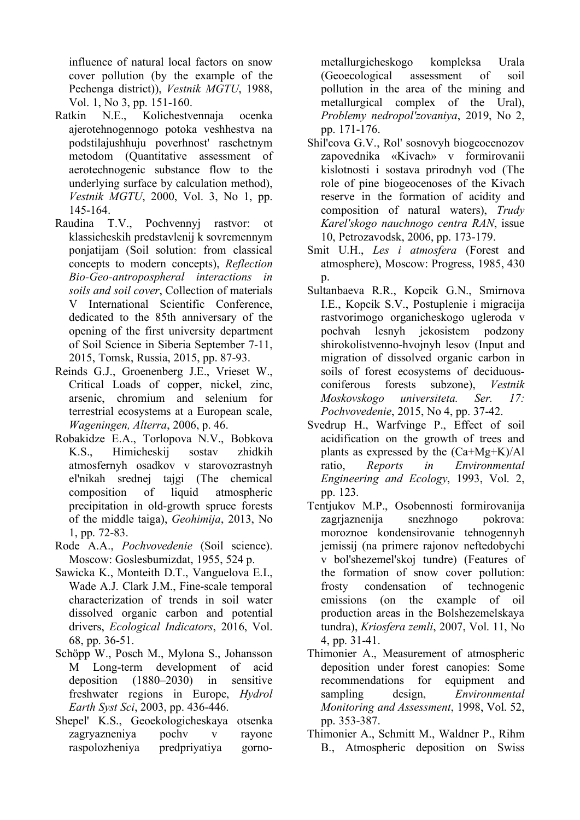influence of natural local factors on snow cover pollution (by the example of the Pechenga district)), *Vestnik MGTU*, 1988, Vol. 1, No 3, pp. 151-160.

- Ratkin N.E., Kolichestvennaja ocenka ajerotehnogennogo potoka veshhestva na podstilajushhuju poverhnost' raschetnym metodom (Quantitative assessment of aerotechnogenic substance flow to the underlying surface by calculation method), *Vestnik MGTU*, 2000, Vol. 3, No 1, pp. 145-164.
- Raudina T.V., Pochvennyj rastvor: ot klassicheskih predstavlenij k sovremennym ponjatijam (Soil solution: from classical concepts to modern concepts), *Reflection Bio-Geo-antropospheral interactions in soils and soil cover*, Collection of materials V International Scientific Conference, dedicated to the 85th anniversary of the opening of the first university department of Soil Science in Siberia September 7-11, 2015, Tomsk, Russia, 2015, pp. 87-93.
- Reinds G.J., Groenenberg J.E., Vrieset W., Critical Loads of copper, nickel, zinc, arsenic, chromium and selenium for terrestrial ecosystems at a European scale, *Wageningen, Alterra*, 2006, p. 46.
- Robakidze E.A., Torlopova N.V., Bobkova K.S., Himicheskij sostav zhidkih atmosfernyh osadkov v starovozrastnyh el'nikah srednej tajgi (The chemical composition of liquid atmospheric precipitation in old-growth spruce forests of the middle taiga), *Geohimija*, 2013, No 1, pp. 72-83.
- Rode A.A., *Pochvovedenie* (Soil science). Moscow: Goslesbumizdat, 1955, 524 p.
- Sawicka K., Monteith D.T., Vanguelova E.I., Wade A.J. Clark J.M., Fine-scale temporal characterization of trends in soil water dissolved organic carbon and potential drivers, *Ecological Indicators*, 2016, Vol. 68, pp. 36-51.
- Schöpp W., Posch M., Mylona S., Johansson M Long-term development of acid deposition (1880–2030) in sensitive freshwater regions in Europe, *Hydrol Earth Syst Sci*, 2003, pp. 436-446.
- Shepel' K.S., Geoekologicheskaya otsenka zagryazneniya pochv v rayone raspolozheniya predpriyatiya gorno-

metallurgicheskogo kompleksa Urala (Geoecological assessment of soil pollution in the area of the mining and metallurgical complex of the Ural), *Problemy nedropol'zovaniya*, 2019, No 2, pp. 171-176.

- Shil'cova G.V., Rol' sosnovyh biogeocenozov zapovednika «Kivach» v formirovanii kislotnosti i sostava prirodnyh vod (The role of pine biogeocenoses of the Kivach reserve in the formation of acidity and composition of natural waters), *Trudy Karel'skogo nauchnogo centra RAN*, issue 10, Petrozavodsk, 2006, pp. 173-179.
- Smit U.H., *Les i atmosfera* (Forest and atmosphere), Moscow: Progress, 1985, 430 p.
- Sultanbaeva R.R., Kopcik G.N., Smirnova I.E., Kopcik S.V., Postuplenie i migracija rastvorimogo organicheskogo ugleroda v pochvah lesnyh jekosistem podzony shirokolistvenno-hvojnyh lesov (Input and migration of dissolved organic carbon in soils of forest ecosystems of deciduousconiferous forests subzone), *Vestnik Moskovskogo universiteta. Ser. 17: Pochvovedenie*, 2015, No 4, pp. 37-42.
- Svedrup H., Warfvinge P., Effect of soil acidification on the growth of trees and plants as expressed by the (Ca+Mg+K)/Al ratio, *Reports in Environmental Engineering and Ecology*, 1993, Vol. 2, pp. 123.
- Tentjukov M.P., Osobennosti formirovanija zagrjaznenija snezhnogo pokrova: moroznoe kondensirovanie tehnogennyh jemissij (na primere rajonov neftedobychi v bol'shezemel'skoj tundre) (Features of the formation of snow cover pollution: frosty condensation of technogenic emissions (on the example of oil production areas in the Bolshezemelskaya tundra), *Kriosfera zemli*, 2007, Vol. 11, No 4, pp. 31-41.
- Thimonier A., Measurement of atmospheric deposition under forest canopies: Some recommendations for equipment and sampling design, *Environmental Monitoring and Assessment*, 1998, Vol. 52, pp. 353-387.
- Thimonier A., Schmitt M., Waldner P., Rihm B., Atmospheric deposition on Swiss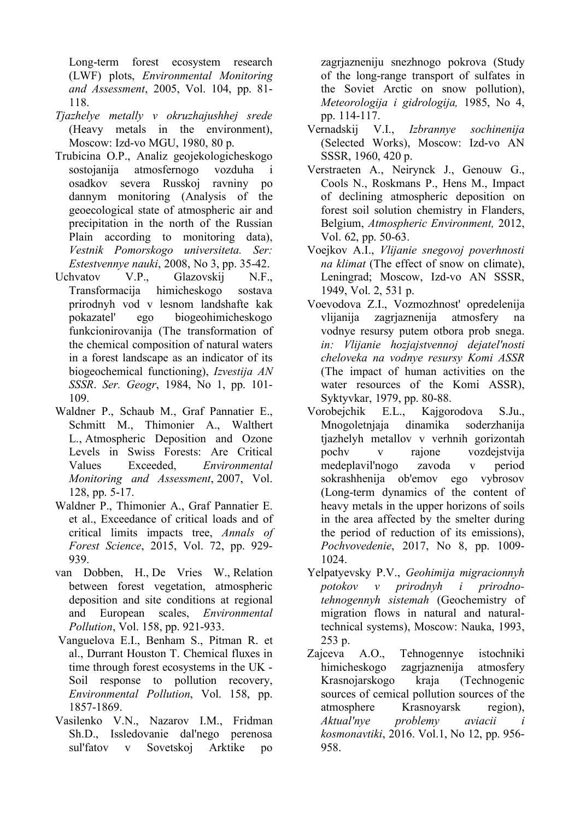Long-term forest ecosystem research (LWF) plots, *Environmental Monitoring and Assessment*, 2005, Vol. 104, pp. 81- 118.

- *Tjazhelye metally v okruzhajushhej srede*  (Heavy metals in the environment), Moscow: Izd-vo MGU, 1980, 80 p.
- Trubicina O.P., Analiz geojekologicheskogo sostojanija atmosfernogo vozduha i osadkov severa Russkoj ravniny po dannym monitoring (Analysis of the geoecological state of atmospheric air and precipitation in the north of the Russian Plain according to monitoring data), *Vestnik Pomorskogo universiteta. Ser: Estestvennye nauki*, 2008, No 3, pp. 35-42.
- Uchvatov V.P., Glazovskij N.F., Transformacija himicheskogo sostava prirodnyh vod v lesnom landshafte kak pokazatel' ego biogeohimicheskogo funkcionirovanija (The transformation of the chemical composition of natural waters in a forest landscape as an indicator of its biogeochemical functioning), *Izvestija AN SSSR*. *Ser. Geogr*, 1984, No 1, pp. 101- 109.
- Waldner P., Schaub M., Graf Pannatier E., Schmitt M., Thimonier A., Walthert L., Atmospheric Deposition and Ozone Levels in Swiss Forests: Are Critical Values Exceeded, *Environmental Monitoring and Assessment*, 2007, Vol. 128, pp. 5-17.
- Waldner P., Thimonier A., Graf Pannatier E. et al., Exceedance of critical loads and of critical limits impacts tree, *Annals of Forest Science*, 2015, Vol. 72, pp. 929- 939.
- van Dobben, H., De Vries W., Relation between forest vegetation, atmospheric deposition and site conditions at regional and European scales, *Environmental Pollution*, Vol. 158, pp. 921-933.
- Vanguelova E.I., Benham S., Pitman R. et al., Durrant Houston T. Chemical fluxes in time through forest ecosystems in the UK - Soil response to pollution recovery, *Environmental Pollution*, Vol. 158, pp. 1857-1869.
- Vasilenko V.N., Nazarov I.M., Fridman Sh.D., Issledovanie dal'nego perenosa sul'fatov v Sovetskoj Arktike po

zagrjazneniju snezhnogo pokrova (Study of the long-range transport of sulfates in the Soviet Arctic on snow pollution), *Meteorologija i gidrologija,* 1985, No 4, pp. 114-117.

- Vernadskij V.I., *Izbrannye sochinenija* (Selected Works), Moscow: Izd-vo AN SSSR, 1960, 420 p.
- Verstraeten A., Neirynck J., Genouw G., Cools N., Roskmans P., Hens M., Impact of declining atmospheric deposition on forest soil solution chemistry in Flanders, Belgium, *Atmospheric Environment,* 2012, Vol. 62, pp. 50-63.
- Voejkov A.I., *Vlijanie snegovoj poverhnosti na klimat* (The effect of snow on climate), Leningrad; Moscow, Izd-vo AN SSSR, 1949, Vol. 2, 531 p.
- Voevodova Z.I., Vozmozhnost' opredelenija vlijanija zagrjaznenija atmosfery na vodnye resursy putem otbora prob snega. *in: Vlijanie hozjajstvennoj dejatel'nosti cheloveka na vodnye resursy Komi ASSR* (The impact of human activities on the water resources of the Komi ASSR), Syktyvkar, 1979, pp. 80-88.
- Vorobejchik E.L., Kajgorodova S.Ju., Mnogoletnjaja dinamika soderzhanija tjazhelyh metallov v verhnih gorizontah pochv v rajone vozdejstvija medeplavil'nogo zavoda v period sokrashhenija ob'emov ego vybrosov (Long-term dynamics of the content of heavy metals in the upper horizons of soils in the area affected by the smelter during the period of reduction of its emissions), *Pochvovedenie*, 2017, No 8, pp. 1009- 1024.
- Yelpatyevsky P.V., *Geohimija migracionnyh potokov v prirodnyh i prirodnotehnogennyh sistemah* (Geochemistry of migration flows in natural and naturaltechnical systems), Moscow: Nauka, 1993, 253 p.
- Zajceva A.O., Tehnogennye istochniki himicheskogo zagrjaznenija atmosfery Krasnojarskogo kraja (Technogenic sources of cemical pollution sources of the atmosphere Krasnoyarsk region), *Aktual'nye problemy aviacii i kosmonavtiki*, 2016. Vol.1, No 12, pp. 956- 958.